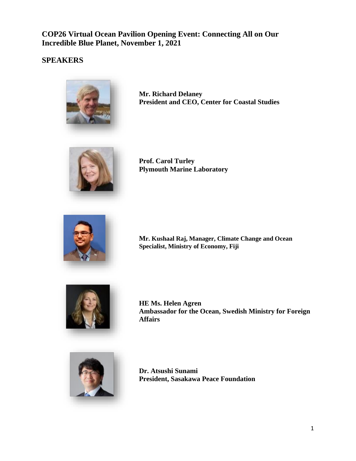**COP26 Virtual Ocean Pavilion Opening Event: Connecting All on Our Incredible Blue Planet, November 1, 2021**

# **SPEAKERS**



**Mr. Richard Delaney President and CEO, Center for Coastal Studies**



**Prof. Carol Turley Plymouth Marine Laboratory**



**Mr. Kushaal Raj, Manager, Climate Change and Ocean Specialist, Ministry of Economy, Fiji**



**HE Ms. Helen Agren Ambassador for the Ocean, Swedish Ministry for Foreign Affairs**



**Dr. Atsushi Sunami President, Sasakawa Peace Foundation**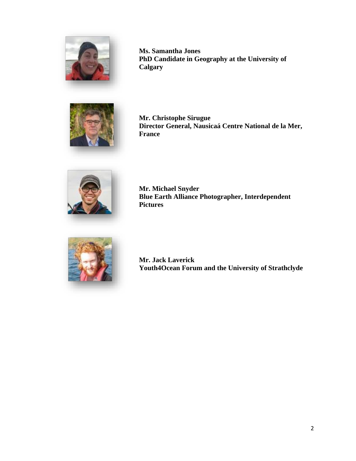

**Ms. Samantha Jones PhD Candidate in Geography at the University of Calgary**



**Mr. Christophe Sirugue Director General, Nausicaá Centre National de la Mer, France**



**Mr. Michael Snyder Blue Earth Alliance Photographer, Interdependent Pictures**



**Mr. Jack Laverick Youth4Ocean Forum and the University of Strathclyde**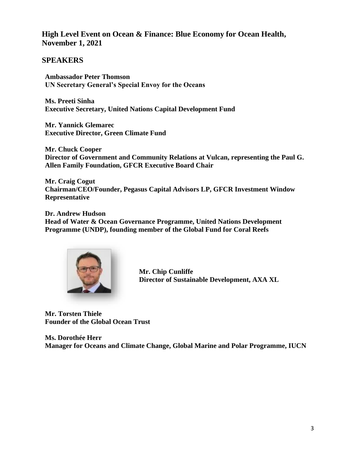## **High Level Event on Ocean & Finance: Blue Economy for Ocean Health, November 1, 2021**

#### **SPEAKERS**

**Ambassador Peter Thomson UN Secretary General's Special Envoy for the Oceans**

**Ms. Preeti Sinha Executive Secretary, United Nations Capital Development Fund**

**Mr. Yannick Glemarec Executive Director, Green Climate Fund**

**Mr. Chuck Cooper Director of Government and Community Relations at Vulcan, representing the Paul G. Allen Family Foundation, GFCR Executive Board Chair**

**Mr. Craig Cogut Chairman/CEO/Founder, Pegasus Capital Advisors LP, GFCR Investment Window Representative**

**Dr. Andrew Hudson Head of Water & Ocean Governance Programme, United Nations Development Programme (UNDP), founding member of the Global Fund for Coral Reefs**



**Mr. Chip Cunliffe Director of Sustainable Development, AXA XL**

**Mr. Torsten Thiele Founder of the Global Ocean Trust**

**Ms. Dorothée Herr Manager for Oceans and Climate Change, Global Marine and Polar Programme, IUCN**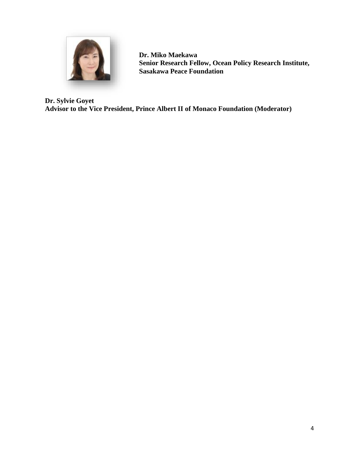

**Dr. Miko Maekawa Senior Research Fellow, Ocean Policy Research Institute, Sasakawa Peace Foundation**

**Dr. Sylvie Goyet Advisor to the Vice President, Prince Albert II of Monaco Foundation (Moderator)**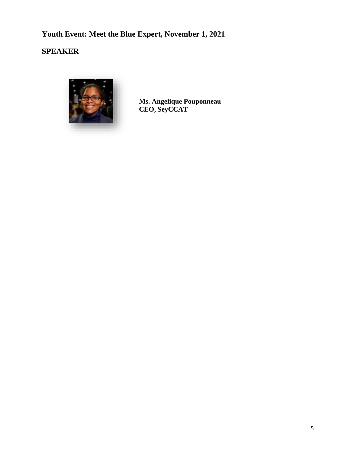# **Youth Event: Meet the Blue Expert, November 1, 2021**

**SPEAKER**



**Ms. Angelique Pouponneau CEO, SeyCCAT**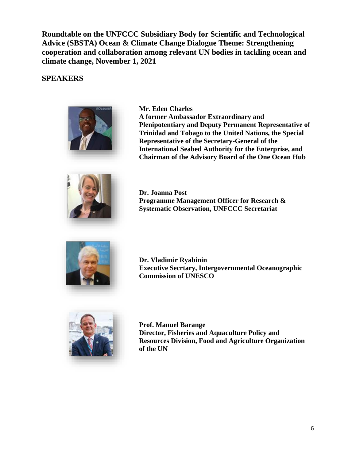**Roundtable on the UNFCCC Subsidiary Body for Scientific and Technological Advice (SBSTA) Ocean & Climate Change Dialogue Theme: Strengthening cooperation and collaboration among relevant UN bodies in tackling ocean and climate change, November 1, 2021**

#### **SPEAKERS**



**Mr. Eden Charles**

**A former Ambassador Extraordinary and Plenipotentiary and Deputy Permanent Representative of Trinidad and Tobago to the United Nations, the Special Representative of the Secretary-General of the International Seabed Authority for the Enterprise, and Chairman of the Advisory Board of the One Ocean Hub**



**Dr. Joanna Post Programme Management Officer for Research & Systematic Observation, UNFCCC Secretariat**



**Dr. Vladimir Ryabinin Executive Secrtary, Intergovernmental Oceanographic Commission of UNESCO**



**Prof. Manuel Barange Director, Fisheries and Aquaculture Policy and Resources Division, Food and Agriculture Organization of the UN**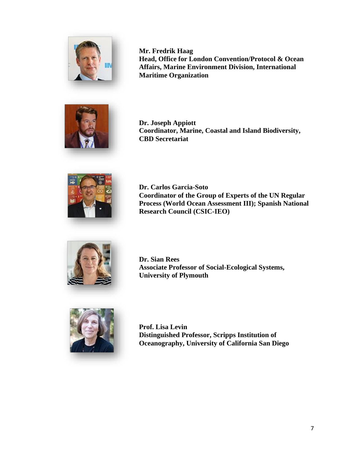

**Mr. Fredrik Haag Head, Office for London Convention/Protocol & Ocean Affairs, Marine Environment Division, International Maritime Organization**



**Dr. Joseph Appiott Coordinator, Marine, Coastal and Island Biodiversity, CBD Secretariat**



**Dr. Carlos Garcia-Soto Coordinator of the Group of Experts of the UN Regular Process (World Ocean Assessment III); Spanish National Research Council (CSIC-IEO)**



**Dr. Sian Rees Associate Professor of Social-Ecological Systems, University of Plymouth**



**Prof. Lisa Levin Distinguished Professor, Scripps Institution of Oceanography, University of California San Diego**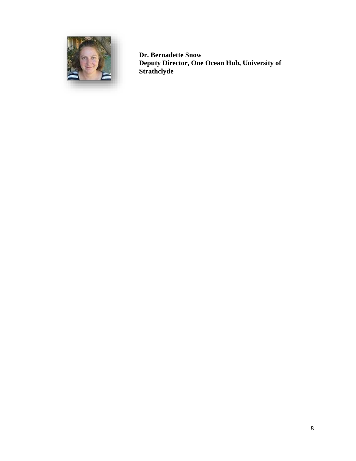

**Dr. Bernadette Snow Deputy Director, One Ocean Hub, University of Strathclyde**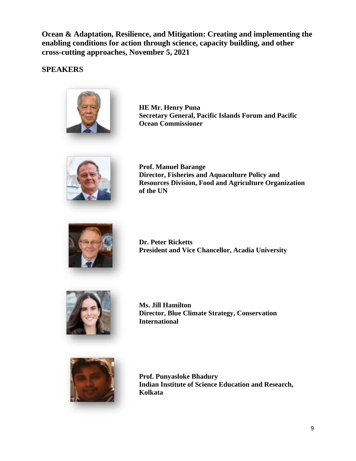**Ocean & Adaptation, Resilience, and Mitigation: Creating and implementing the enabling conditions for action through science, capacity building, and other cross-cutting approaches, November 5, 2021**

# **SPEAKERS**



**HE Mr. Henry Puna Secretary General, Pacific Islands Forum and Pacific Ocean Commissioner**



**Prof. Manuel Barange Director, Fisheries and Aquaculture Policy and Resources Division, Food and Agriculture Organization of the UN**



**Dr. Peter Ricketts President and Vice Chancellor, Acadia University**



**Ms. Jill Hamilton Director, Blue Climate Strategy, Conservation International**



**Prof. Punyasloke Bhadury Indian Institute of Science Education and Research, Kolkata**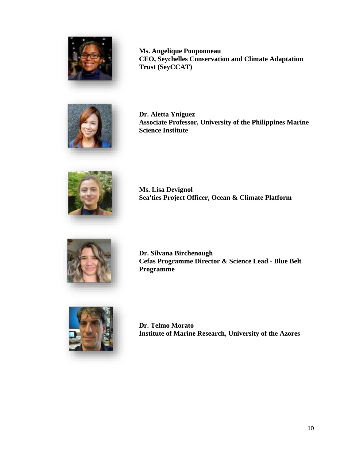

**Ms. Angelique Pouponneau CEO, Seychelles Conservation and Climate Adaptation Trust (SeyCCAT)**



**Dr. Aletta Yniguez Associate Professor, University of the Philippines Marine Science Institute**



**Ms. Lisa Devignol Sea'ties Project Officer, Ocean & Climate Platform**



**Dr. Silvana Birchenough Cefas Programme Director & Science Lead - Blue Belt Programme**



**Dr. Telmo Morato Institute of Marine Research, University of the Azores**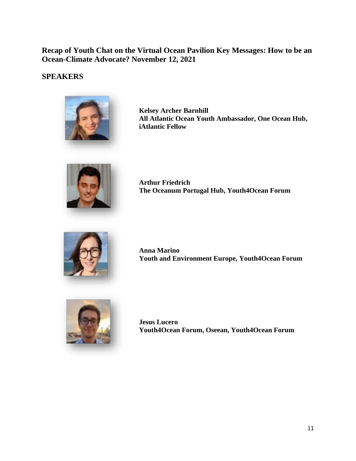# **Recap of Youth Chat on the Virtual Ocean Pavilion Key Messages: How to be an Ocean-Climate Advocate? November 12, 2021**

#### **SPEAKERS**



**Kelsey Archer Barnhill All Atlantic Ocean Youth Ambassador, One Ocean Hub, iAtlantic Fellow**



**Arthur Friedrich The Oceanum Portugal Hub, Youth4Ocean Forum**



**Anna Marino Youth and Environment Europe, Youth4Ocean Forum**



**Jesus Lucero Youth4Ocean Forum, Oseean, Youth4Ocean Forum**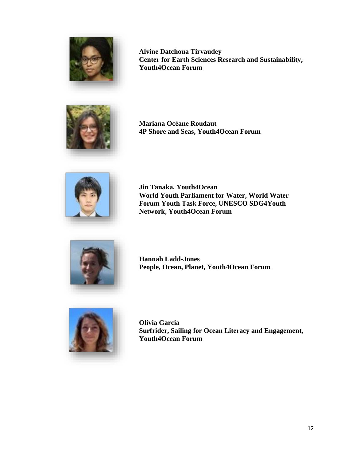

**Alvine Datchoua Tirvaudey Center for Earth Sciences Research and Sustainability, Youth4Ocean Forum**



**Mariana Océane Roudaut 4P Shore and Seas, Youth4Ocean Forum**



**Jin Tanaka, Youth4Ocean World Youth Parliament for Water, World Water Forum Youth Task Force, UNESCO SDG4Youth Network, Youth4Ocean Forum**



**Hannah Ladd-Jones People, Ocean, Planet, Youth4Ocean Forum**



**Olivia Garcia Surfrider, Sailing for Ocean Literacy and Engagement, Youth4Ocean Forum**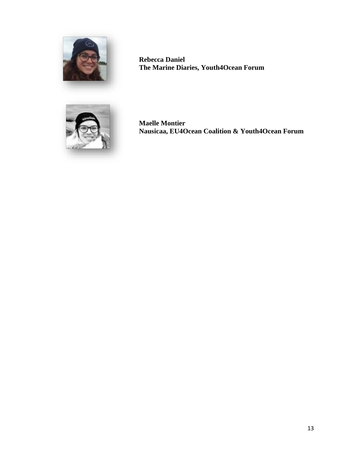

**Rebecca Daniel The Marine Diaries, Youth4Ocean Forum**



**Maelle Montier Nausicaa, EU4Ocean Coalition & Youth4Ocean Forum**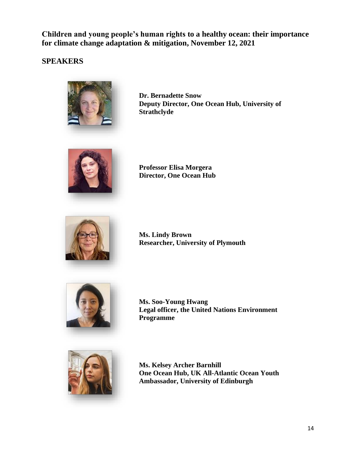**Children and young people's human rights to a healthy ocean: their importance for climate change adaptation & mitigation, November 12, 2021**

## **SPEAKERS**



**Dr. Bernadette Snow Deputy Director, One Ocean Hub, University of Strathclyde**



**Professor Elisa Morgera Director, One Ocean Hub**



**Ms. Lindy Brown Researcher, University of Plymouth**



**Ms. Soo-Young Hwang Legal officer, the United Nations Environment Programme**



**Ms. Kelsey Archer Barnhill One Ocean Hub, UK All-Atlantic Ocean Youth Ambassador, University of Edinburgh**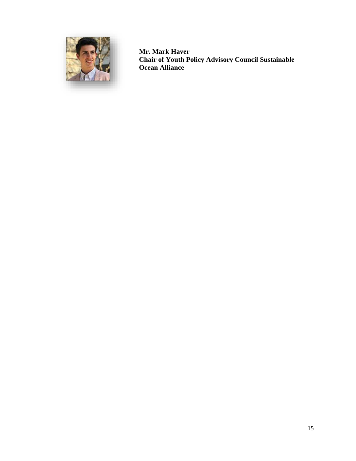

**Mr. Mark Haver Chair of Youth Policy Advisory Council Sustainable Ocean Alliance**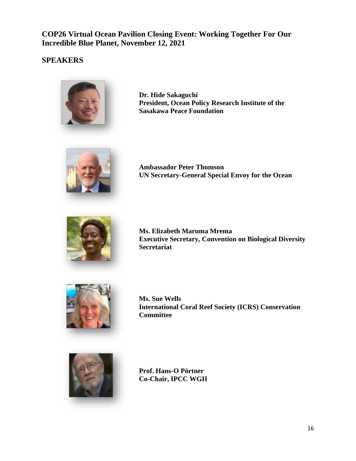**COP26 Virtual Ocean Pavilion Closing Event: Working Together For Our Incredible Blue Planet, November 12, 2021**

# **SPEAKERS**



**Dr. Hide Sakaguchi President, Ocean Policy Research Institute of the Sasakawa Peace Foundation**



**Ambassador Peter Thomson UN Secretary-General Special Envoy for the Ocean**



**Ms. Elizabeth Maruma Mrema Executive Secretary, Convention on Biological Diversity Secretariat**



**Ms. Sue Wells International Coral Reef Society (ICRS) Conservation Committee**



**Prof. Hans-O Pörtner Co-Chair, IPCC WGII**